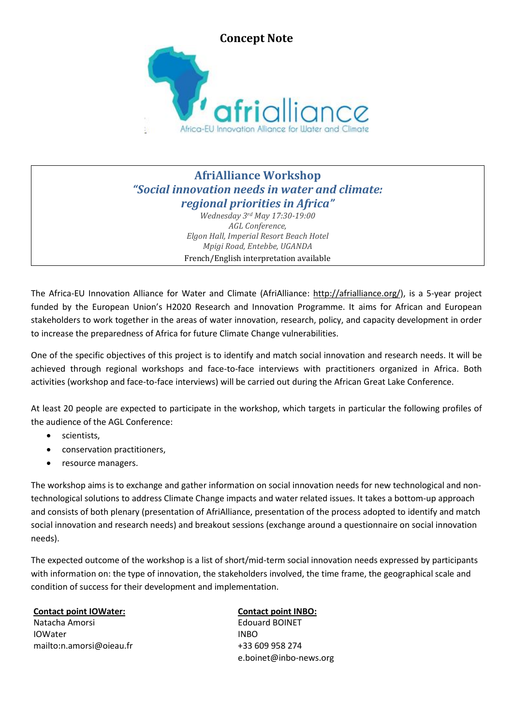

## **AfriAlliance Workshop** *"Social innovation needs in water and climate: regional priorities in Africa"*

*Wednesday 3rd May 17:30-19:00 AGL Conference, Elgon Hall, Imperial Resort Beach Hotel Mpigi Road, Entebbe, UGANDA* French/English interpretation available

The Africa-EU Innovation Alliance for Water and Climate (AfriAlliance: http://afrialliance.org/), is a 5-year project funded by the European Union's H2020 Research and Innovation Programme. It aims for African and European stakeholders to work together in the areas of water innovation, research, policy, and capacity development in order to increase the preparedness of Africa for future Climate Change vulnerabilities.

One of the specific objectives of this project is to identify and match social innovation and research needs. It will be achieved through regional workshops and face-to-face interviews with practitioners organized in Africa. Both activities (workshop and face-to-face interviews) will be carried out during the African Great Lake Conference.

At least 20 people are expected to participate in the workshop, which targets in particular the following profiles of the audience of the AGL Conference:

- scientists,
- conservation practitioners,
- resource managers.

The workshop aims is to exchange and gather information on social innovation needs for new technological and nontechnological solutions to address Climate Change impacts and water related issues. It takes a bottom-up approach and consists of both plenary (presentation of AfriAlliance, presentation of the process adopted to identify and match social innovation and research needs) and breakout sessions (exchange around a questionnaire on social innovation needs).

The expected outcome of the workshop is a list of short/mid-term social innovation needs expressed by participants with information on: the type of innovation, the stakeholders involved, the time frame, the geographical scale and condition of success for their development and implementation.

## **Contact point IOWater:**

Natacha Amorsi IOWater mailto:n.amorsi@oieau.fr

## **Contact point INBO:**

Edouard BOINET INBO +33 609 958 274 e.boinet@inbo-news.org